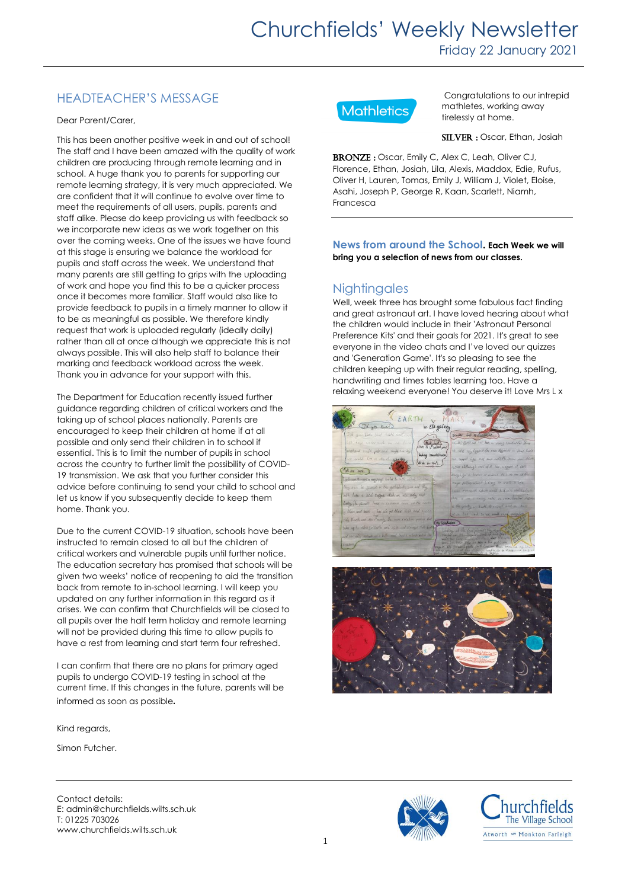### HEADTEACHER'S MESSAGE

Dear Parent/Carer,

This has been another positive week in and out of school! The staff and I have been amazed with the quality of work children are producing through remote learning and in school. A huge thank you to parents for supporting our remote learning strategy, it is very much appreciated. We are confident that it will continue to evolve over time to meet the requirements of all users, pupils, parents and staff alike. Please do keep providing us with feedback so we incorporate new ideas as we work together on this over the coming weeks. One of the issues we have found at this stage is ensuring we balance the workload for pupils and staff across the week. We understand that many parents are still getting to grips with the uploading of work and hope you find this to be a quicker process once it becomes more familiar. Staff would also like to provide feedback to pupils in a timely manner to allow it to be as meaningful as possible. We therefore kindly request that work is uploaded regularly (ideally daily) rather than all at once although we appreciate this is not always possible. This will also help staff to balance their marking and feedback workload across the week. Thank you in advance for your support with this.

The Department for Education recently issued further guidance regarding children of critical workers and the taking up of school places nationally. Parents are encouraged to keep their children at home if at all possible and only send their children in to school if essential. This is to limit the number of pupils in school across the country to further limit the possibility of COVID-19 transmission. We ask that you further consider this advice before continuing to send your child to school and let us know if you subsequently decide to keep them home. Thank you.

Due to the current COVID-19 situation, schools have been instructed to remain closed to all but the children of critical workers and vulnerable pupils until further notice. The education secretary has promised that schools will be given two weeks' notice of reopening to aid the transition back from remote to in-school learning. I will keep you updated on any further information in this regard as it arises. We can confirm that Churchfields will be closed to all pupils over the half term holiday and remote learning will not be provided during this time to allow pupils to have a rest from learning and start term four refreshed.

I can confirm that there are no plans for primary aged pupils to undergo COVID-19 testing in school at the current time. If this changes in the future, parents will be informed as soon as possible.

Kind regards,

Simon Futcher.



Congratulations to our intrepid mathletes, working away tirelessly at home.

SILVER : Oscar, Ethan, Josiah

BRONZE: Oscar, Emily C, Alex C, Leah, Oliver CJ, Florence, Ethan, Josiah, Lila, Alexis, Maddox, Edie, Rufus, Oliver H, Lauren, Tomas, Emily J, William J, Violet, Eloise, Asahi, Joseph P, George R, Kaan, Scarlett, Niamh, Francesca

#### **News from around the School. Each Week we will bring you a selection of news from our classes.**

### **Nightingales**

Well, week three has brought some fabulous fact finding and great astronaut art. I have loved hearing about what the children would include in their 'Astronaut Personal Preference Kits' and their goals for 2021. It's great to see everyone in the video chats and I've loved our quizzes and 'Generation Game'. It's so pleasing to see the children keeping up with their regular reading, spelling, handwriting and times tables learning too. Have a relaxing weekend everyone! You deserve it! Love Mrs L x





Contact details: E: admin@churchfields.wilts.sch.uk T: 01225 703026 www.churchfields.wilts.sch.uk